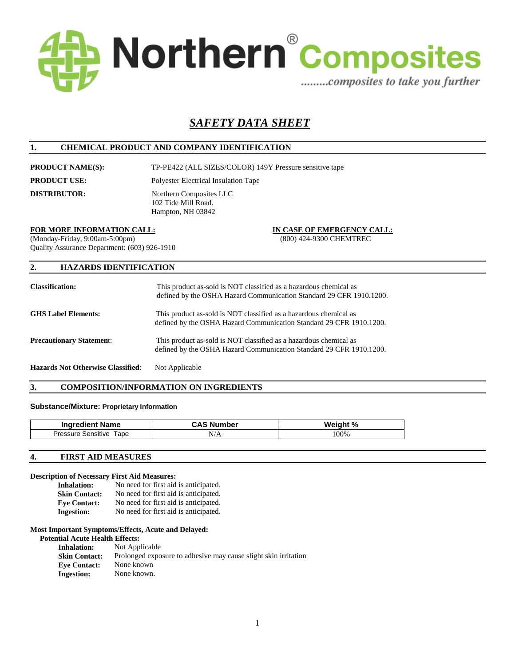

# *SAFETY DATA SHEET*

# **1. CHEMICAL PRODUCT AND COMPANY IDENTIFICATION**

**PRODUCT NAME(S):** TP-PE422 (ALL SIZES/COLOR) 149Y Pressure sensitive tape **PRODUCT USE:** Polyester Electrical Insulation Tape

**DISTRIBUTOR:** Northern Composites LLC 102 Tide Mill Road. Hampton, NH 03842

## **FOR MORE INFORMATION CALL: IN CASE OF EMERGENCY CALL:**

(Monday-Friday, 9:00am-5:00pm) (800) 424-9300 CHEMTREC Quality Assurance Department: (603) 926-1910

## **2. HAZARDS IDENTIFICATION**

| <b>Classification:</b>                   | This product as-sold is NOT classified as a hazardous chemical as<br>defined by the OSHA Hazard Communication Standard 29 CFR 1910.1200. |
|------------------------------------------|------------------------------------------------------------------------------------------------------------------------------------------|
| <b>GHS Label Elements:</b>               | This product as-sold is NOT classified as a hazardous chemical as<br>defined by the OSHA Hazard Communication Standard 29 CFR 1910.1200. |
| <b>Precautionary Statement:</b>          | This product as-sold is NOT classified as a hazardous chemical as<br>defined by the OSHA Hazard Communication Standard 29 CFR 1910.1200. |
| <b>Hazards Not Otherwise Classified:</b> | Not Applicable                                                                                                                           |

## **3. COMPOSITION/INFORMATION ON INGREDIENTS**

## **Substance/Mixture: Proprietary Information**

| <b>Ingredient Name</b>            | ∴AS N<br>umber | Weight %<br>7٥ |
|-----------------------------------|----------------|----------------|
| Tape<br><b>Pressure Sensitive</b> | N/A            | 100%           |

#### **4. FIRST AID MEASURES**

#### **Description of Necessary First Aid Measures:**

| <b>Inhalation:</b>   | No need for first aid is anticipated. |
|----------------------|---------------------------------------|
| <b>Skin Contact:</b> | No need for first aid is anticipated. |
| <b>Eve Contact:</b>  | No need for first aid is anticipated. |
| <b>Ingestion:</b>    | No need for first aid is anticipated. |

#### **Most Important Symptoms/Effects, Acute and Delayed:**

#### **Potential Acute Health Effects:**

| <b>Inhalation:</b>   | Not Applicable                                                  |
|----------------------|-----------------------------------------------------------------|
| <b>Skin Contact:</b> | Prolonged exposure to adhesive may cause slight skin irritation |
| <b>Eve Contact:</b>  | None known                                                      |
| <b>Ingestion:</b>    | None known.                                                     |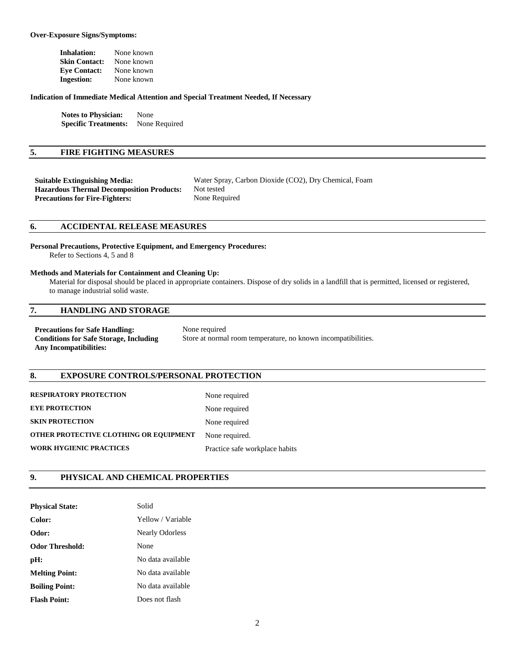#### **Over-Exposure Signs/Symptoms:**

| Inhalation:          | None known |
|----------------------|------------|
| <b>Skin Contact:</b> | None known |
| <b>Eve Contact:</b>  | None known |
| <b>Ingestion:</b>    | None known |

#### **Indication of Immediate Medical Attention and Special Treatment Needed, If Necessary**

**Notes to Physician:** None **Specific Treatments:** None Required

## **5. FIRE FIGHTING MEASURES**

| Suitable Extinguishing Media:                    | Water Spray, Carbon Dioxide (CO2), Dry Chemical, Foam |
|--------------------------------------------------|-------------------------------------------------------|
| <b>Hazardous Thermal Decomposition Products:</b> | Not tested                                            |
| <b>Precautions for Fire-Fighters:</b>            | None Required                                         |

## **6. ACCIDENTAL RELEASE MEASURES**

**Personal Precautions, Protective Equipment, and Emergency Procedures:**  Refer to Sections 4, 5 and 8

## **Methods and Materials for Containment and Cleaning Up:**

 Material for disposal should be placed in appropriate containers. Dispose of dry solids in a landfill that is permitted, licensed or registered, to manage industrial solid waste.

## **7. HANDLING AND STORAGE**

**Precautions for Safe Handling:** None required **Conditions for Safe Storage, Including Any Incompatibilities:** 

Store at normal room temperature, no known incompatibilities.

## **8. EXPOSURE CONTROLS/PERSONAL PROTECTION**

| <b>RESPIRATORY PROTECTION</b>          | None required                  |
|----------------------------------------|--------------------------------|
| <b>EYE PROTECTION</b>                  | None required                  |
| <b>SKIN PROTECTION</b>                 | None required                  |
| OTHER PROTECTIVE CLOTHING OR EQUIPMENT | None required.                 |
| <b>WORK HYGIENIC PRACTICES</b>         | Practice safe workplace habits |

#### **9. PHYSICAL AND CHEMICAL PROPERTIES**

| <b>Physical State:</b> | Solid                  |
|------------------------|------------------------|
| Color:                 | Yellow / Variable      |
| Odor:                  | <b>Nearly Odorless</b> |
| <b>Odor Threshold:</b> | None                   |
| pH:                    | No data available      |
| <b>Melting Point:</b>  | No data available      |
| <b>Boiling Point:</b>  | No data available      |
| <b>Flash Point:</b>    | Does not flash         |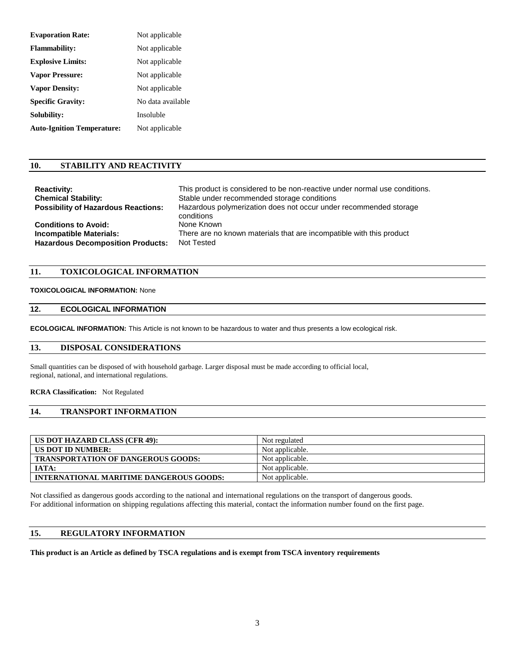| <b>Evaporation Rate:</b>          | Not applicable    |
|-----------------------------------|-------------------|
| <b>Flammability:</b>              | Not applicable    |
| <b>Explosive Limits:</b>          | Not applicable    |
| <b>Vapor Pressure:</b>            | Not applicable    |
| <b>Vapor Density:</b>             | Not applicable    |
| <b>Specific Gravity:</b>          | No data available |
| Solubility:                       | Insoluble         |
| <b>Auto-Ignition Temperature:</b> | Not applicable    |

## **10. STABILITY AND REACTIVITY**

| <b>Reactivity:</b>                         | This product is considered to be non-reactive under normal use conditions. |
|--------------------------------------------|----------------------------------------------------------------------------|
| <b>Chemical Stability:</b>                 | Stable under recommended storage conditions                                |
| <b>Possibility of Hazardous Reactions:</b> | Hazardous polymerization does not occur under recommended storage          |
|                                            | conditions                                                                 |
| <b>Conditions to Avoid:</b>                | None Known                                                                 |
| <b>Incompatible Materials:</b>             | There are no known materials that are incompatible with this product       |
| <b>Hazardous Decomposition Products:</b>   | Not Tested                                                                 |

## **11. TOXICOLOGICAL INFORMATION**

## **TOXICOLOGICAL INFORMATION:** None

## **12. ECOLOGICAL INFORMATION**

**ECOLOGICAL INFORMATION:** This Article is not known to be hazardous to water and thus presents a low ecological risk.

## **13. DISPOSAL CONSIDERATIONS**

Small quantities can be disposed of with household garbage. Larger disposal must be made according to official local, regional, national, and international regulations.

## **RCRA Classification:** Not Regulated

# **14. TRANSPORT INFORMATION**

| US DOT HAZARD CLASS (CFR 49):             | Not regulated   |
|-------------------------------------------|-----------------|
| US DOT ID NUMBER:                         | Not applicable. |
| <b>TRANSPORTATION OF DANGEROUS GOODS:</b> | Not applicable. |
| IATA:                                     | Not applicable. |
| INTERNATIONAL MARITIME DANGEROUS GOODS:   | Not applicable. |

Not classified as dangerous goods according to the national and international regulations on the transport of dangerous goods. For additional information on shipping regulations affecting this material, contact the information number found on the first page.

## **15. REGULATORY INFORMATION**

## **This product is an Article as defined by TSCA regulations and is exempt from TSCA inventory requirements**